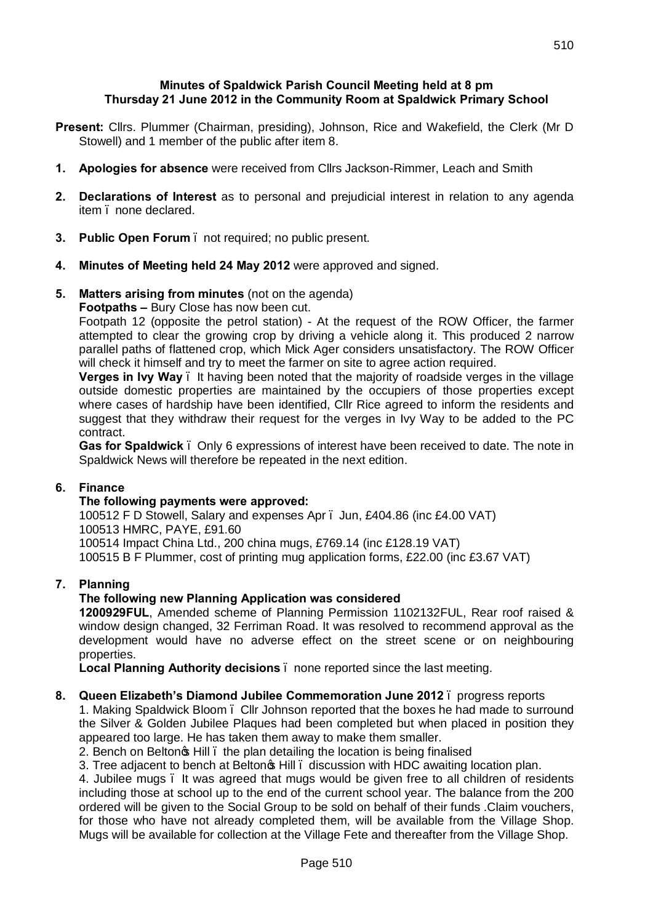### **Minutes of Spaldwick Parish Council Meeting held at 8 pm Thursday 21 June 2012 in the Community Room at Spaldwick Primary School**

- **Present:** Cllrs. Plummer (Chairman, presiding), Johnson, Rice and Wakefield, the Clerk (Mr D Stowell) and 1 member of the public after item 8.
- **1. Apologies for absence** were received from Cllrs Jackson-Rimmer, Leach and Smith
- **2. Declarations of Interest** as to personal and prejudicial interest in relation to any agenda item . none declared.
- **3. Public Open Forum**  not required; no public present.
- **4. Minutes of Meeting held 24 May 2012** were approved and signed.

### **5. Matters arising from minutes** (not on the agenda)

#### **Footpaths –** Bury Close has now been cut.

Footpath 12 (opposite the petrol station) - At the request of the ROW Officer, the farmer attempted to clear the growing crop by driving a vehicle along it. This produced 2 narrow parallel paths of flattened crop, which Mick Ager considers unsatisfactory. The ROW Officer will check it himself and try to meet the farmer on site to agree action required.

**Verges in Ivy Way** – It having been noted that the majority of roadside verges in the village outside domestic properties are maintained by the occupiers of those properties except where cases of hardship have been identified, Cllr Rice agreed to inform the residents and suggest that they withdraw their request for the verges in Ivy Way to be added to the PC contract.

**Gas for Spaldwick** – Only 6 expressions of interest have been received to date. The note in Spaldwick News will therefore be repeated in the next edition.

### **6. Finance**

### **The following payments were approved:**

100512 F D Stowell, Salary and expenses Apr – Jun, £404.86 (inc £4.00 VAT) 100513 HMRC, PAYE, £91.60 100514 Impact China Ltd., 200 china mugs, £769.14 (inc £128.19 VAT) 100515 B F Plummer, cost of printing mug application forms, £22.00 (inc £3.67 VAT)

### **7. Planning**

### **The following new Planning Application was considered**

**1200929FUL**, Amended scheme of Planning Permission 1102132FUL, Rear roof raised & window design changed, 32 Ferriman Road. It was resolved to recommend approval as the development would have no adverse effect on the street scene or on neighbouring properties.

**Local Planning Authority decisions** – none reported since the last meeting.

### **8. Queen Elizabeth's Diamond Jubilee Commemoration June 2012** – progress reports

1. Making Spaldwick Bloom – Cllr Johnson reported that the boxes he had made to surround the Silver & Golden Jubilee Plaques had been completed but when placed in position they appeared too large. He has taken them away to make them smaller.

2. Bench on Belton<sub>o</sub> Hill, the plan detailing the location is being finalised

3. Tree adjacent to bench at Belton<sup>®</sup> Hill ediscussion with HDC awaiting location plan.

4. Jubilee mugs – It was agreed that mugs would be given free to all children of residents including those at school up to the end of the current school year. The balance from the 200 ordered will be given to the Social Group to be sold on behalf of their funds .Claim vouchers, for those who have not already completed them, will be available from the Village Shop. Mugs will be available for collection at the Village Fete and thereafter from the Village Shop.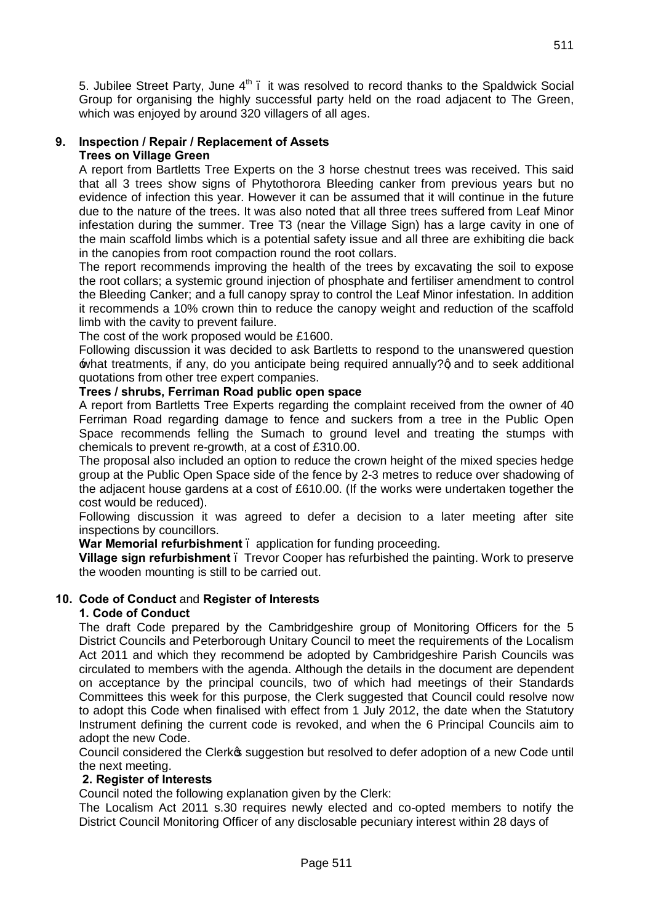5. Jubilee Street Party, June  $4<sup>th</sup>$ . it was resolved to record thanks to the Spaldwick Social Group for organising the highly successful party held on the road adjacent to The Green, which was enjoyed by around 320 villagers of all ages.

### **9. Inspection / Repair / Replacement of Assets Trees on Village Green**

A report from Bartletts Tree Experts on the 3 horse chestnut trees was received. This said that all 3 trees show signs of Phytothorora Bleeding canker from previous years but no evidence of infection this year. However it can be assumed that it will continue in the future due to the nature of the trees. It was also noted that all three trees suffered from Leaf Minor infestation during the summer. Tree T3 (near the Village Sign) has a large cavity in one of the main scaffold limbs which is a potential safety issue and all three are exhibiting die back in the canopies from root compaction round the root collars.

The report recommends improving the health of the trees by excavating the soil to expose the root collars; a systemic ground injection of phosphate and fertiliser amendment to control the Bleeding Canker; and a full canopy spray to control the Leaf Minor infestation. In addition it recommends a 10% crown thin to reduce the canopy weight and reduction of the scaffold limb with the cavity to prevent failure.

The cost of the work proposed would be £1600.

Following discussion it was decided to ask Bartletts to respond to the unanswered question what treatments, if any, do you anticipate being required annually?q and to seek additional quotations from other tree expert companies.

## **Trees / shrubs, Ferriman Road public open space**

A report from Bartletts Tree Experts regarding the complaint received from the owner of 40 Ferriman Road regarding damage to fence and suckers from a tree in the Public Open Space recommends felling the Sumach to ground level and treating the stumps with chemicals to prevent re-growth, at a cost of £310.00.

The proposal also included an option to reduce the crown height of the mixed species hedge group at the Public Open Space side of the fence by 2-3 metres to reduce over shadowing of the adjacent house gardens at a cost of £610.00. (If the works were undertaken together the cost would be reduced).

Following discussion it was agreed to defer a decision to a later meeting after site inspections by councillors.

**War Memorial refurbishment** – application for funding proceeding.

**Village sign refurbishment** – Trevor Cooper has refurbished the painting. Work to preserve the wooden mounting is still to be carried out.

# **10. Code of Conduct** and **Register of Interests**

### **1. Code of Conduct**

The draft Code prepared by the Cambridgeshire group of Monitoring Officers for the 5 District Councils and Peterborough Unitary Council to meet the requirements of the Localism Act 2011 and which they recommend be adopted by Cambridgeshire Parish Councils was circulated to members with the agenda. Although the details in the document are dependent on acceptance by the principal councils, two of which had meetings of their Standards Committees this week for this purpose, the Clerk suggested that Council could resolve now to adopt this Code when finalised with effect from 1 July 2012, the date when the Statutory Instrument defining the current code is revoked, and when the 6 Principal Councils aim to adopt the new Code.

Council considered the Clerkos suggestion but resolved to defer adoption of a new Code until the next meeting.

### **2. Register of Interests**

Council noted the following explanation given by the Clerk:

The Localism Act 2011 s.30 requires newly elected and co-opted members to notify the District Council Monitoring Officer of any disclosable pecuniary interest within 28 days of